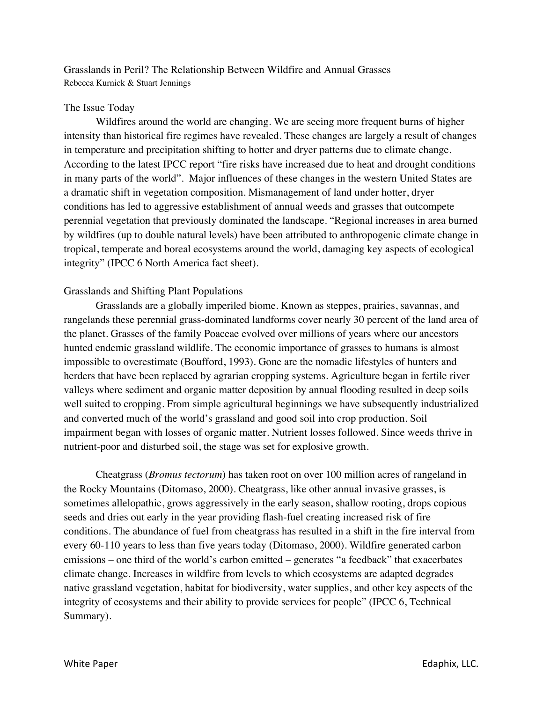Grasslands in Peril? The Relationship Between Wildfire and Annual Grasses Rebecca Kurnick & Stuart Jennings

## The Issue Today

Wildfires around the world are changing. We are seeing more frequent burns of higher intensity than historical fire regimes have revealed. These changes are largely a result of changes in temperature and precipitation shifting to hotter and dryer patterns due to climate change. According to the latest IPCC report "fire risks have increased due to heat and drought conditions in many parts of the world". Major influences of these changes in the western United States are a dramatic shift in vegetation composition. Mismanagement of land under hotter, dryer conditions has led to aggressive establishment of annual weeds and grasses that outcompete perennial vegetation that previously dominated the landscape. "Regional increases in area burned by wildfires (up to double natural levels) have been attributed to anthropogenic climate change in tropical, temperate and boreal ecosystems around the world, damaging key aspects of ecological integrity" (IPCC 6 North America fact sheet).

## Grasslands and Shifting Plant Populations

Grasslands are a globally imperiled biome. Known as steppes, prairies, savannas, and rangelands these perennial grass-dominated landforms cover nearly 30 percent of the land area of the planet. Grasses of the family Poaceae evolved over millions of years where our ancestors hunted endemic grassland wildlife. The economic importance of grasses to humans is almost impossible to overestimate (Boufford, 1993). Gone are the nomadic lifestyles of hunters and herders that have been replaced by agrarian cropping systems. Agriculture began in fertile river valleys where sediment and organic matter deposition by annual flooding resulted in deep soils well suited to cropping. From simple agricultural beginnings we have subsequently industrialized and converted much of the world's grassland and good soil into crop production. Soil impairment began with losses of organic matter. Nutrient losses followed. Since weeds thrive in nutrient-poor and disturbed soil, the stage was set for explosive growth.

Cheatgrass (*Bromus tectorum*) has taken root on over 100 million acres of rangeland in the Rocky Mountains (Ditomaso, 2000). Cheatgrass, like other annual invasive grasses, is sometimes allelopathic, grows aggressively in the early season, shallow rooting, drops copious seeds and dries out early in the year providing flash-fuel creating increased risk of fire conditions. The abundance of fuel from cheatgrass has resulted in a shift in the fire interval from every 60-110 years to less than five years today (Ditomaso, 2000). Wildfire generated carbon emissions – one third of the world's carbon emitted – generates "a feedback" that exacerbates climate change. Increases in wildfire from levels to which ecosystems are adapted degrades native grassland vegetation, habitat for biodiversity, water supplies, and other key aspects of the integrity of ecosystems and their ability to provide services for people" (IPCC 6, Technical Summary).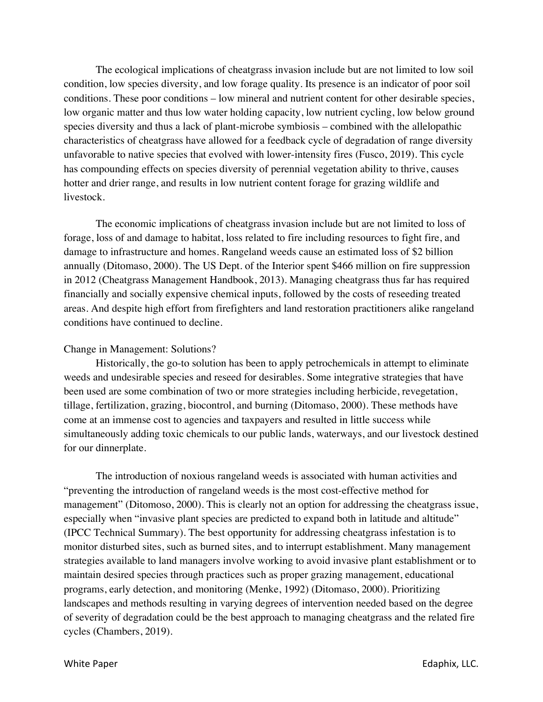The ecological implications of cheatgrass invasion include but are not limited to low soil condition, low species diversity, and low forage quality. Its presence is an indicator of poor soil conditions. These poor conditions – low mineral and nutrient content for other desirable species, low organic matter and thus low water holding capacity, low nutrient cycling, low below ground species diversity and thus a lack of plant-microbe symbiosis – combined with the allelopathic characteristics of cheatgrass have allowed for a feedback cycle of degradation of range diversity unfavorable to native species that evolved with lower-intensity fires (Fusco, 2019). This cycle has compounding effects on species diversity of perennial vegetation ability to thrive, causes hotter and drier range, and results in low nutrient content forage for grazing wildlife and livestock.

The economic implications of cheatgrass invasion include but are not limited to loss of forage, loss of and damage to habitat, loss related to fire including resources to fight fire, and damage to infrastructure and homes. Rangeland weeds cause an estimated loss of \$2 billion annually (Ditomaso, 2000). The US Dept. of the Interior spent \$466 million on fire suppression in 2012 (Cheatgrass Management Handbook, 2013). Managing cheatgrass thus far has required financially and socially expensive chemical inputs, followed by the costs of reseeding treated areas. And despite high effort from firefighters and land restoration practitioners alike rangeland conditions have continued to decline.

## Change in Management: Solutions?

Historically, the go-to solution has been to apply petrochemicals in attempt to eliminate weeds and undesirable species and reseed for desirables. Some integrative strategies that have been used are some combination of two or more strategies including herbicide, revegetation, tillage, fertilization, grazing, biocontrol, and burning (Ditomaso, 2000). These methods have come at an immense cost to agencies and taxpayers and resulted in little success while simultaneously adding toxic chemicals to our public lands, waterways, and our livestock destined for our dinnerplate.

The introduction of noxious rangeland weeds is associated with human activities and "preventing the introduction of rangeland weeds is the most cost-effective method for management" (Ditomoso, 2000). This is clearly not an option for addressing the cheatgrass issue, especially when "invasive plant species are predicted to expand both in latitude and altitude" (IPCC Technical Summary). The best opportunity for addressing cheatgrass infestation is to monitor disturbed sites, such as burned sites, and to interrupt establishment. Many management strategies available to land managers involve working to avoid invasive plant establishment or to maintain desired species through practices such as proper grazing management, educational programs, early detection, and monitoring (Menke, 1992) (Ditomaso, 2000). Prioritizing landscapes and methods resulting in varying degrees of intervention needed based on the degree of severity of degradation could be the best approach to managing cheatgrass and the related fire cycles (Chambers, 2019).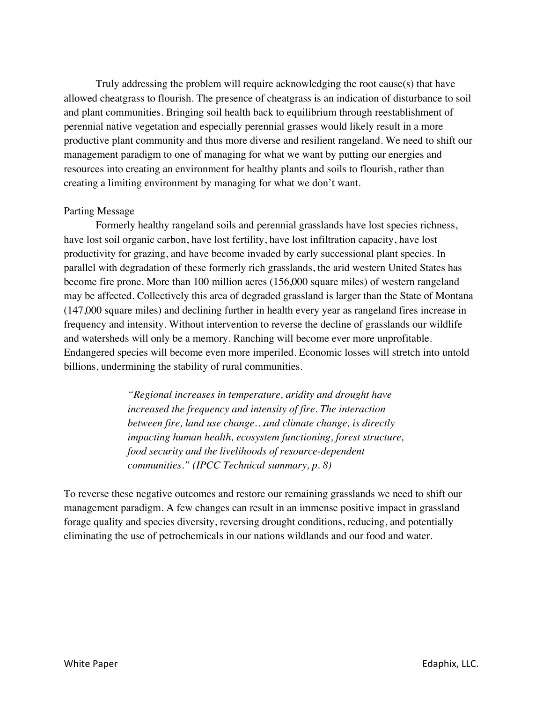Truly addressing the problem will require acknowledging the root cause(s) that have allowed cheatgrass to flourish. The presence of cheatgrass is an indication of disturbance to soil and plant communities. Bringing soil health back to equilibrium through reestablishment of perennial native vegetation and especially perennial grasses would likely result in a more productive plant community and thus more diverse and resilient rangeland. We need to shift our management paradigm to one of managing for what we want by putting our energies and resources into creating an environment for healthy plants and soils to flourish, rather than creating a limiting environment by managing for what we don't want.

## Parting Message

Formerly healthy rangeland soils and perennial grasslands have lost species richness, have lost soil organic carbon, have lost fertility, have lost infiltration capacity, have lost productivity for grazing, and have become invaded by early successional plant species. In parallel with degradation of these formerly rich grasslands, the arid western United States has become fire prone. More than 100 million acres (156,000 square miles) of western rangeland may be affected. Collectively this area of degraded grassland is larger than the State of Montana (147,000 square miles) and declining further in health every year as rangeland fires increase in frequency and intensity. Without intervention to reverse the decline of grasslands our wildlife and watersheds will only be a memory. Ranching will become ever more unprofitable. Endangered species will become even more imperiled. Economic losses will stretch into untold billions, undermining the stability of rural communities.

> *"Regional increases in temperature, aridity and drought have increased the frequency and intensity of fire. The interaction between fire, land use change…and climate change, is directly impacting human health, ecosystem functioning, forest structure, food security and the livelihoods of resource-dependent communities." (IPCC Technical summary, p. 8)*

To reverse these negative outcomes and restore our remaining grasslands we need to shift our management paradigm. A few changes can result in an immense positive impact in grassland forage quality and species diversity, reversing drought conditions, reducing, and potentially eliminating the use of petrochemicals in our nations wildlands and our food and water.